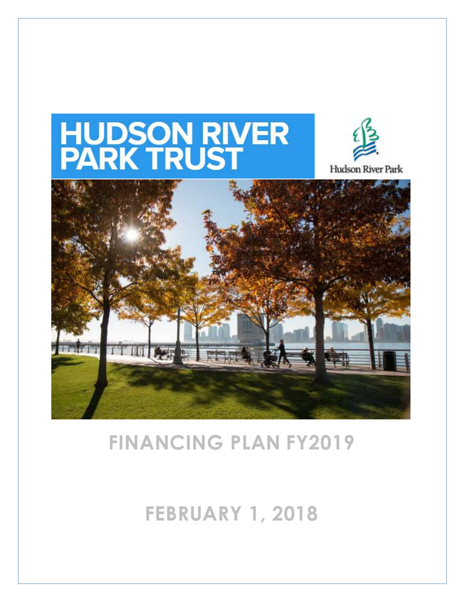# **HUDSON RIVER<br>PARK TRUST**



Hudson River Park



# **FINANCING PLAN FY2019**

# **FEBRUARY 1, 2018**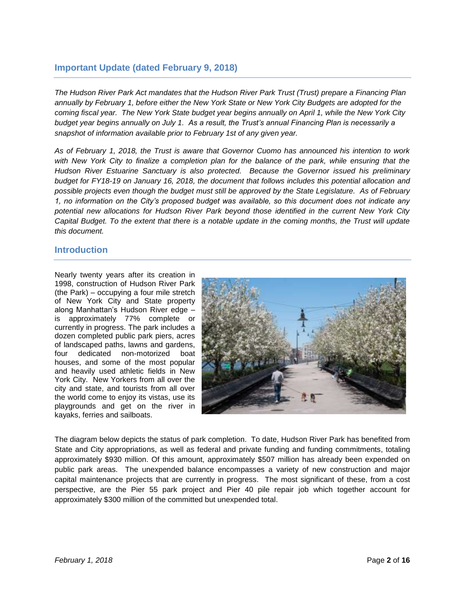## **Important Update (dated February 9, 2018)**

*The Hudson River Park Act mandates that the Hudson River Park Trust (Trust) prepare a Financing Plan annually by February 1, before either the New York State or New York City Budgets are adopted for the coming fiscal year. The New York State budget year begins annually on April 1, while the New York City budget year begins annually on July 1. As a result, the Trust's annual Financing Plan is necessarily a snapshot of information available prior to February 1st of any given year.* 

*As of February 1, 2018, the Trust is aware that Governor Cuomo has announced his intention to work*  with New York City to finalize a completion plan for the balance of the park, while ensuring that the *Hudson River Estuarine Sanctuary is also protected. Because the Governor issued his preliminary budget for FY18-19 on January 16, 2018, the document that follows includes this potential allocation and possible projects even though the budget must still be approved by the State Legislature. As of February 1, no information on the City's proposed budget was available, so this document does not indicate any potential new allocations for Hudson River Park beyond those identified in the current New York City Capital Budget. To the extent that there is a notable update in the coming months, the Trust will update this document.*

#### **Introduction**

Nearly twenty years after its creation in 1998, construction of Hudson River Park (the Park) – occupying a four mile stretch of New York City and State property along Manhattan's Hudson River edge – is approximately 77% complete or currently in progress. The park includes a dozen completed public park piers, acres of landscaped paths, lawns and gardens, four dedicated non-motorized boat houses, and some of the most popular and heavily used athletic fields in New York City. New Yorkers from all over the city and state, and tourists from all over the world come to enjoy its vistas, use its playgrounds and get on the river in kayaks, ferries and sailboats.



The diagram below depicts the status of park completion. To date, Hudson River Park has benefited from State and City appropriations, as well as federal and private funding and funding commitments, totaling approximately \$930 million. Of this amount, approximately \$507 million has already been expended on public park areas. The unexpended balance encompasses a variety of new construction and major capital maintenance projects that are currently in progress. The most significant of these, from a cost perspective, are the Pier 55 park project and Pier 40 pile repair job which together account for approximately \$300 million of the committed but unexpended total.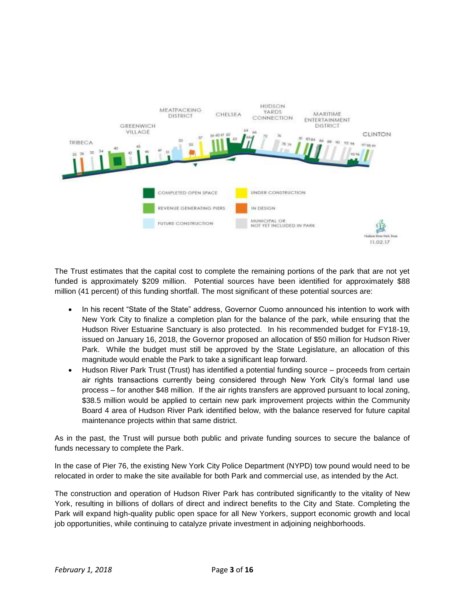

The Trust estimates that the capital cost to complete the remaining portions of the park that are not yet funded is approximately \$209 million. Potential sources have been identified for approximately \$88 million (41 percent) of this funding shortfall. The most significant of these potential sources are:

- In his recent "State of the State" address, Governor Cuomo announced his intention to work with New York City to finalize a completion plan for the balance of the park, while ensuring that the Hudson River Estuarine Sanctuary is also protected. In his recommended budget for FY18-19, issued on January 16, 2018, the Governor proposed an allocation of \$50 million for Hudson River Park. While the budget must still be approved by the State Legislature, an allocation of this magnitude would enable the Park to take a significant leap forward.
- Hudson River Park Trust (Trust) has identified a potential funding source proceeds from certain air rights transactions currently being considered through New York City's formal land use process – for another \$48 million. If the air rights transfers are approved pursuant to local zoning, \$38.5 million would be applied to certain new park improvement projects within the Community Board 4 area of Hudson River Park identified below, with the balance reserved for future capital maintenance projects within that same district.

As in the past, the Trust will pursue both public and private funding sources to secure the balance of funds necessary to complete the Park.

In the case of Pier 76, the existing New York City Police Department (NYPD) tow pound would need to be relocated in order to make the site available for both Park and commercial use, as intended by the Act.

The construction and operation of Hudson River Park has contributed significantly to the vitality of New York, resulting in billions of dollars of direct and indirect benefits to the City and State. Completing the Park will expand high-quality public open space for all New Yorkers, support economic growth and local job opportunities, while continuing to catalyze private investment in adjoining neighborhoods.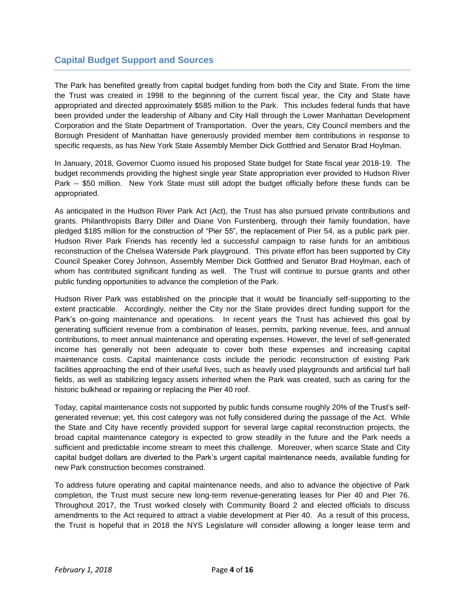# **Capital Budget Support and Sources**

The Park has benefited greatly from capital budget funding from both the City and State. From the time the Trust was created in 1998 to the beginning of the current fiscal year, the City and State have appropriated and directed approximately \$585 million to the Park. This includes federal funds that have been provided under the leadership of Albany and City Hall through the Lower Manhattan Development Corporation and the State Department of Transportation. Over the years, City Council members and the Borough President of Manhattan have generously provided member item contributions in response to specific requests, as has New York State Assembly Member Dick Gottfried and Senator Brad Hoylman.

In January, 2018, Governor Cuomo issued his proposed State budget for State fiscal year 2018-19. The budget recommends providing the highest single year State appropriation ever provided to Hudson River Park -- \$50 million. New York State must still adopt the budget officially before these funds can be appropriated.

As anticipated in the Hudson River Park Act (Act), the Trust has also pursued private contributions and grants. Philanthropists Barry Diller and Diane Von Furstenberg, through their family foundation, have pledged \$185 million for the construction of "Pier 55", the replacement of Pier 54, as a public park pier. Hudson River Park Friends has recently led a successful campaign to raise funds for an ambitious reconstruction of the Chelsea Waterside Park playground. This private effort has been supported by City Council Speaker Corey Johnson, Assembly Member Dick Gottfried and Senator Brad Hoylman, each of whom has contributed significant funding as well. The Trust will continue to pursue grants and other public funding opportunities to advance the completion of the Park.

Hudson River Park was established on the principle that it would be financially self-supporting to the extent practicable. Accordingly, neither the City nor the State provides direct funding support for the Park's on-going maintenance and operations. In recent years the Trust has achieved this goal by generating sufficient revenue from a combination of leases, permits, parking revenue, fees, and annual contributions, to meet annual maintenance and operating expenses. However, the level of self-generated income has generally not been adequate to cover both these expenses and increasing capital maintenance costs. Capital maintenance costs include the periodic reconstruction of existing Park facilities approaching the end of their useful lives, such as heavily used playgrounds and artificial turf ball fields, as well as stabilizing legacy assets inherited when the Park was created, such as caring for the historic bulkhead or repairing or replacing the Pier 40 roof.

Today, capital maintenance costs not supported by public funds consume roughly 20% of the Trust's selfgenerated revenue; yet, this cost category was not fully considered during the passage of the Act. While the State and City have recently provided support for several large capital reconstruction projects, the broad capital maintenance category is expected to grow steadily in the future and the Park needs a sufficient and predictable income stream to meet this challenge. Moreover, when scarce State and City capital budget dollars are diverted to the Park's urgent capital maintenance needs, available funding for new Park construction becomes constrained.

To address future operating and capital maintenance needs, and also to advance the objective of Park completion, the Trust must secure new long-term revenue-generating leases for Pier 40 and Pier 76. Throughout 2017, the Trust worked closely with Community Board 2 and elected officials to discuss amendments to the Act required to attract a viable development at Pier 40. As a result of this process, the Trust is hopeful that in 2018 the NYS Legislature will consider allowing a longer lease term and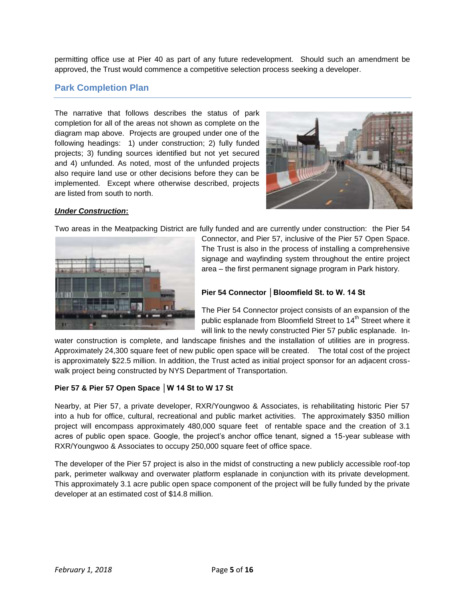permitting office use at Pier 40 as part of any future redevelopment. Should such an amendment be approved, the Trust would commence a competitive selection process seeking a developer.

### **Park Completion Plan**

The narrative that follows describes the status of park completion for all of the areas not shown as complete on the diagram map above. Projects are grouped under one of the following headings: 1) under construction; 2) fully funded projects; 3) funding sources identified but not yet secured and 4) unfunded. As noted, most of the unfunded projects also require land use or other decisions before they can be implemented. Except where otherwise described, projects are listed from south to north.



#### *Under Construction***:**

Two areas in the Meatpacking District are fully funded and are currently under construction: the Pier 54



Connector, and Pier 57, inclusive of the Pier 57 Open Space. The Trust is also in the process of installing a comprehensive signage and wayfinding system throughout the entire project area – the first permanent signage program in Park history.

#### **Pier 54 Connector │Bloomfield St. to W. 14 St**

The Pier 54 Connector project consists of an expansion of the public esplanade from Bloomfield Street to 14<sup>th</sup> Street where it will link to the newly constructed Pier 57 public esplanade. In-

water construction is complete, and landscape finishes and the installation of utilities are in progress. Approximately 24,300 square feet of new public open space will be created. The total cost of the project is approximately \$22.5 million. In addition, the Trust acted as initial project sponsor for an adjacent crosswalk project being constructed by NYS Department of Transportation.

#### **Pier 57 & Pier 57 Open Space │W 14 St to W 17 St**

Nearby, at Pier 57, a private developer, RXR/Youngwoo & Associates, is rehabilitating historic Pier 57 into a hub for office, cultural, recreational and public market activities. The approximately \$350 million project will encompass approximately 480,000 square feet of rentable space and the creation of 3.1 acres of public open space. Google, the project's anchor office tenant, signed a 15-year sublease with RXR/Youngwoo & Associates to occupy 250,000 square feet of office space.

The developer of the Pier 57 project is also in the midst of constructing a new publicly accessible roof-top park, perimeter walkway and overwater platform esplanade in conjunction with its private development. This approximately 3.1 acre public open space component of the project will be fully funded by the private developer at an estimated cost of \$14.8 million.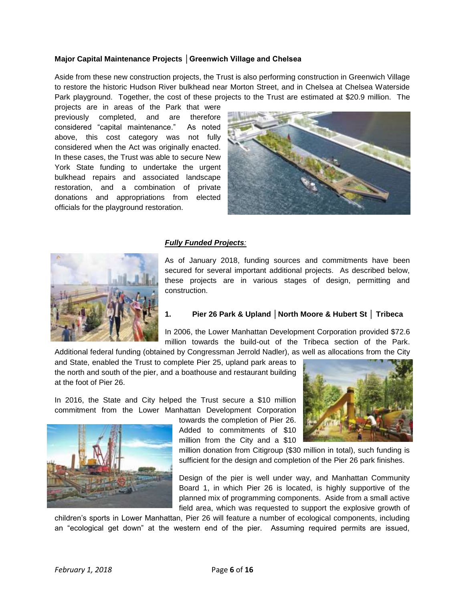#### **Major Capital Maintenance Projects │Greenwich Village and Chelsea**

Aside from these new construction projects, the Trust is also performing construction in Greenwich Village to restore the historic Hudson River bulkhead near Morton Street, and in Chelsea at Chelsea Waterside Park playground. Together, the cost of these projects to the Trust are estimated at \$20.9 million. The

projects are in areas of the Park that were previously completed, and are therefore considered "capital maintenance." As noted above, this cost category was not fully considered when the Act was originally enacted. In these cases, the Trust was able to secure New York State funding to undertake the urgent bulkhead repairs and associated landscape restoration, and a combination of private donations and appropriations from elected officials for the playground restoration.



#### *Fully Funded Projects:*

As of January 2018, funding sources and commitments have been secured for several important additional projects. As described below, these projects are in various stages of design, permitting and construction.



#### **1. Pier 26 Park & Upland │North Moore & Hubert St │ Tribeca**

In 2006, the Lower Manhattan Development Corporation provided \$72.6 million towards the build-out of the Tribeca section of the Park.

Additional federal funding (obtained by Congressman Jerrold Nadler), as well as allocations from the City and State, enabled the Trust to complete Pier 25, upland park areas to the north and south of the pier, and a boathouse and restaurant building at the foot of Pier 26.

In 2016, the State and City helped the Trust secure a \$10 million commitment from the Lower Manhattan Development Corporation



towards the completion of Pier 26. Added to commitments of \$10 million from the City and a \$10



million donation from Citigroup (\$30 million in total), such funding is sufficient for the design and completion of the Pier 26 park finishes.

Design of the pier is well under way, and Manhattan Community Board 1, in which Pier 26 is located, is highly supportive of the planned mix of programming components. Aside from a small active field area, which was requested to support the explosive growth of

children's sports in Lower Manhattan, Pier 26 will feature a number of ecological components, including an "ecological get down" at the western end of the pier. Assuming required permits are issued,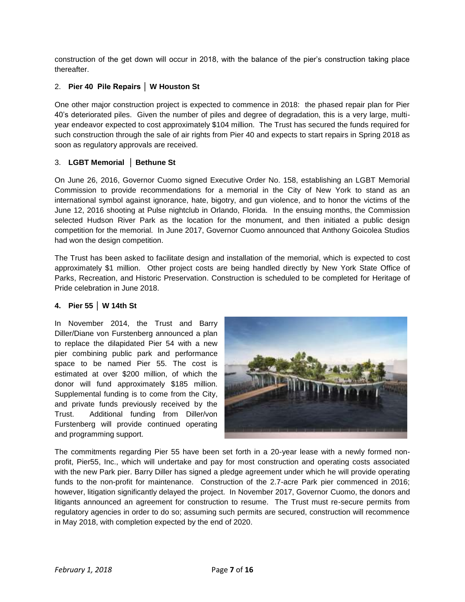construction of the get down will occur in 2018, with the balance of the pier's construction taking place thereafter.

#### 2. **Pier 40 Pile Repairs │ W Houston St**

One other major construction project is expected to commence in 2018: the phased repair plan for Pier 40's deteriorated piles. Given the number of piles and degree of degradation, this is a very large, multiyear endeavor expected to cost approximately \$104 million. The Trust has secured the funds required for such construction through the sale of air rights from Pier 40 and expects to start repairs in Spring 2018 as soon as regulatory approvals are received.

#### 3. **LGBT Memorial │ Bethune St**

On June 26, 2016, Governor Cuomo signed Executive Order No. 158, establishing an LGBT Memorial Commission to provide recommendations for a memorial in the City of New York to stand as an international symbol against ignorance, hate, bigotry, and gun violence, and to honor the victims of the June 12, 2016 shooting at Pulse nightclub in Orlando, Florida. In the ensuing months, the Commission selected Hudson River Park as the location for the monument, and then initiated a public design competition for the memorial. In June 2017, Governor Cuomo announced that Anthony Goicolea Studios had won the design competition.

The Trust has been asked to facilitate design and installation of the memorial, which is expected to cost approximately \$1 million. Other project costs are being handled directly by New York State Office of Parks, Recreation, and Historic Preservation. Construction is scheduled to be completed for Heritage of Pride celebration in June 2018.

#### **4. Pier 55 │ W 14th St**

In November 2014, the Trust and Barry Diller/Diane von Furstenberg announced a plan to replace the dilapidated Pier 54 with a new pier combining public park and performance space to be named Pier 55. The cost is estimated at over \$200 million, of which the donor will fund approximately \$185 million. Supplemental funding is to come from the City, and private funds previously received by the Trust. Additional funding from Diller/von Furstenberg will provide continued operating and programming support.



The commitments regarding Pier 55 have been set forth in a 20-year lease with a newly formed nonprofit, Pier55, Inc., which will undertake and pay for most construction and operating costs associated with the new Park pier. Barry Diller has signed a pledge agreement under which he will provide operating funds to the non-profit for maintenance. Construction of the 2.7-acre Park pier commenced in 2016; however, litigation significantly delayed the project. In November 2017, Governor Cuomo, the donors and litigants announced an agreement for construction to resume. The Trust must re-secure permits from regulatory agencies in order to do so; assuming such permits are secured, construction will recommence in May 2018, with completion expected by the end of 2020.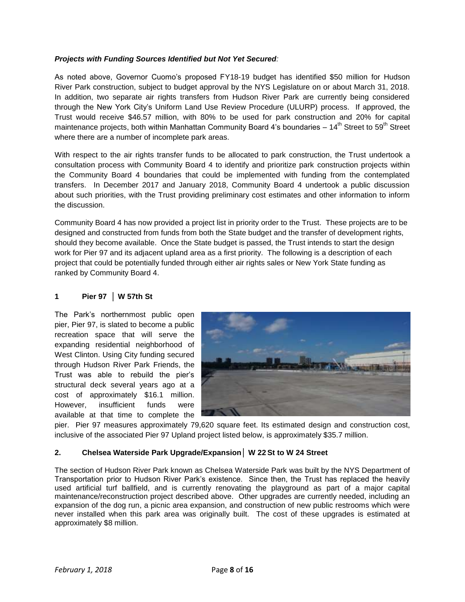#### *Projects with Funding Sources Identified but Not Yet Secured:*

As noted above, Governor Cuomo's proposed FY18-19 budget has identified \$50 million for Hudson River Park construction, subject to budget approval by the NYS Legislature on or about March 31, 2018. In addition, two separate air rights transfers from Hudson River Park are currently being considered through the New York City's Uniform Land Use Review Procedure (ULURP) process. If approved, the Trust would receive \$46.57 million, with 80% to be used for park construction and 20% for capital maintenance projects, both within Manhattan Community Board 4's boundaries  $-14^{th}$  Street to 59<sup>th</sup> Street where there are a number of incomplete park areas.

With respect to the air rights transfer funds to be allocated to park construction, the Trust undertook a consultation process with Community Board 4 to identify and prioritize park construction projects within the Community Board 4 boundaries that could be implemented with funding from the contemplated transfers. In December 2017 and January 2018, Community Board 4 undertook a public discussion about such priorities, with the Trust providing preliminary cost estimates and other information to inform the discussion.

Community Board 4 has now provided a project list in priority order to the Trust. These projects are to be designed and constructed from funds from both the State budget and the transfer of development rights, should they become available. Once the State budget is passed, the Trust intends to start the design work for Pier 97 and its adjacent upland area as a first priority. The following is a description of each project that could be potentially funded through either air rights sales or New York State funding as ranked by Community Board 4.

#### **1 Pier 97 │ W 57th St**

The Park's northernmost public open pier, Pier 97, is slated to become a public recreation space that will serve the expanding residential neighborhood of West Clinton. Using City funding secured through Hudson River Park Friends, the Trust was able to rebuild the pier's structural deck several years ago at a cost of approximately \$16.1 million. However, insufficient funds were available at that time to complete the



pier. Pier 97 measures approximately 79,620 square feet. Its estimated design and construction cost, inclusive of the associated Pier 97 Upland project listed below, is approximately \$35.7 million.

#### **2. Chelsea Waterside Park Upgrade/Expansion│ W 22 St to W 24 Street**

The section of Hudson River Park known as Chelsea Waterside Park was built by the NYS Department of Transportation prior to Hudson River Park's existence. Since then, the Trust has replaced the heavily used artificial turf ballfield, and is currently renovating the playground as part of a major capital maintenance/reconstruction project described above. Other upgrades are currently needed, including an expansion of the dog run, a picnic area expansion, and construction of new public restrooms which were never installed when this park area was originally built. The cost of these upgrades is estimated at approximately \$8 million.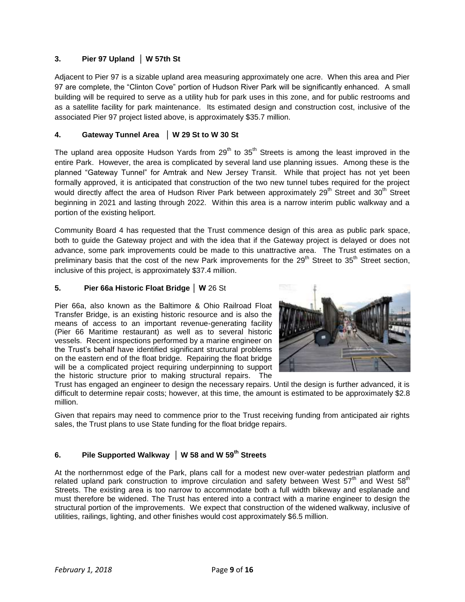#### **3. Pier 97 Upland │ W 57th St**

Adjacent to Pier 97 is a sizable upland area measuring approximately one acre. When this area and Pier 97 are complete, the "Clinton Cove" portion of Hudson River Park will be significantly enhanced. A small building will be required to serve as a utility hub for park uses in this zone, and for public restrooms and as a satellite facility for park maintenance. Its estimated design and construction cost, inclusive of the associated Pier 97 project listed above, is approximately \$35.7 million.

#### **4. Gateway Tunnel Area** │ **W 29 St to W 30 St**

The upland area opposite Hudson Yards from 29<sup>th</sup> to 35<sup>th</sup> Streets is among the least improved in the entire Park. However, the area is complicated by several land use planning issues. Among these is the planned "Gateway Tunnel" for Amtrak and New Jersey Transit. While that project has not yet been formally approved, it is anticipated that construction of the two new tunnel tubes required for the project would directly affect the area of Hudson River Park between approximately 29<sup>th</sup> Street and 30<sup>th</sup> Street beginning in 2021 and lasting through 2022. Within this area is a narrow interim public walkway and a portion of the existing heliport.

Community Board 4 has requested that the Trust commence design of this area as public park space, both to guide the Gateway project and with the idea that if the Gateway project is delayed or does not advance, some park improvements could be made to this unattractive area. The Trust estimates on a preliminary basis that the cost of the new Park improvements for the 29<sup>th</sup> Street to 35<sup>th</sup> Street section, inclusive of this project, is approximately \$37.4 million.

#### **5. Pier 66a Historic Float Bridge │ W** 26 St

Pier 66a, also known as the Baltimore & Ohio Railroad Float Transfer Bridge, is an existing historic resource and is also the means of access to an important revenue-generating facility (Pier 66 Maritime restaurant) as well as to several historic vessels. Recent inspections performed by a marine engineer on the Trust's behalf have identified significant structural problems on the eastern end of the float bridge. Repairing the float bridge will be a complicated project requiring underpinning to support the historic structure prior to making structural repairs. The



Trust has engaged an engineer to design the necessary repairs. Until the design is further advanced, it is difficult to determine repair costs; however, at this time, the amount is estimated to be approximately \$2.8 million.

Given that repairs may need to commence prior to the Trust receiving funding from anticipated air rights sales, the Trust plans to use State funding for the float bridge repairs.

#### **6. Pile Supported Walkway │ W 58 and W 59th Streets**

At the northernmost edge of the Park, plans call for a modest new over-water pedestrian platform and related upland park construction to improve circulation and safety between West  $57<sup>th</sup>$  and West  $58<sup>th</sup>$ Streets. The existing area is too narrow to accommodate both a full width bikeway and esplanade and must therefore be widened. The Trust has entered into a contract with a marine engineer to design the structural portion of the improvements. We expect that construction of the widened walkway, inclusive of utilities, railings, lighting, and other finishes would cost approximately \$6.5 million.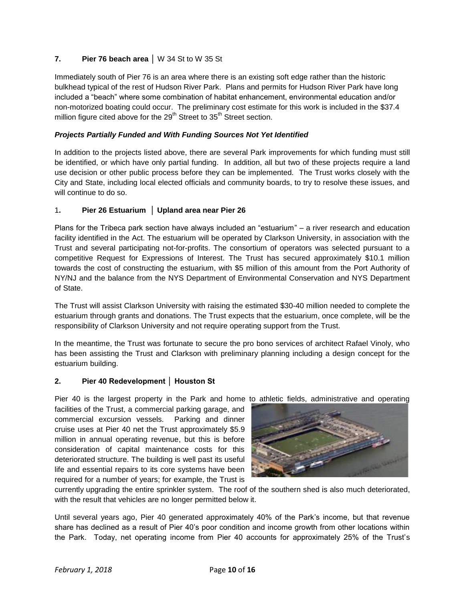#### **7. Pier 76 beach area │** W 34 St to W 35 St

Immediately south of Pier 76 is an area where there is an existing soft edge rather than the historic bulkhead typical of the rest of Hudson River Park. Plans and permits for Hudson River Park have long included a "beach" where some combination of habitat enhancement, environmental education and/or non-motorized boating could occur. The preliminary cost estimate for this work is included in the \$37.4 million figure cited above for the  $29<sup>th</sup>$  Street to  $35<sup>th</sup>$  Street section.

#### *Projects Partially Funded and With Funding Sources Not Yet Identified*

In addition to the projects listed above, there are several Park improvements for which funding must still be identified, or which have only partial funding. In addition, all but two of these projects require a land use decision or other public process before they can be implemented. The Trust works closely with the City and State, including local elected officials and community boards, to try to resolve these issues, and will continue to do so.

#### 1**. Pier 26 Estuarium │ Upland area near Pier 26**

Plans for the Tribeca park section have always included an "estuarium" – a river research and education facility identified in the Act. The estuarium will be operated by Clarkson University, in association with the Trust and several participating not-for-profits. The consortium of operators was selected pursuant to a competitive Request for Expressions of Interest. The Trust has secured approximately \$10.1 million towards the cost of constructing the estuarium, with \$5 million of this amount from the Port Authority of NY/NJ and the balance from the NYS Department of Environmental Conservation and NYS Department of State.

The Trust will assist Clarkson University with raising the estimated \$30-40 million needed to complete the estuarium through grants and donations. The Trust expects that the estuarium, once complete, will be the responsibility of Clarkson University and not require operating support from the Trust.

In the meantime, the Trust was fortunate to secure the pro bono services of architect Rafael Vinoly, who has been assisting the Trust and Clarkson with preliminary planning including a design concept for the estuarium building.

#### **2. Pier 40 Redevelopment │ Houston St**

Pier 40 is the largest property in the Park and home to athletic fields, administrative and operating facilities of the Trust, a commercial parking garage, and commercial excursion vessels. Parking and dinner cruise uses at Pier 40 net the Trust approximately \$5.9 million in annual operating revenue, but this is before consideration of capital maintenance costs for this deteriorated structure. The building is well past its useful life and essential repairs to its core systems have been

required for a number of years; for example, the Trust is



currently upgrading the entire sprinkler system. The roof of the southern shed is also much deteriorated, with the result that vehicles are no longer permitted below it.

Until several years ago, Pier 40 generated approximately 40% of the Park's income, but that revenue share has declined as a result of Pier 40's poor condition and income growth from other locations within the Park. Today, net operating income from Pier 40 accounts for approximately 25% of the Trust's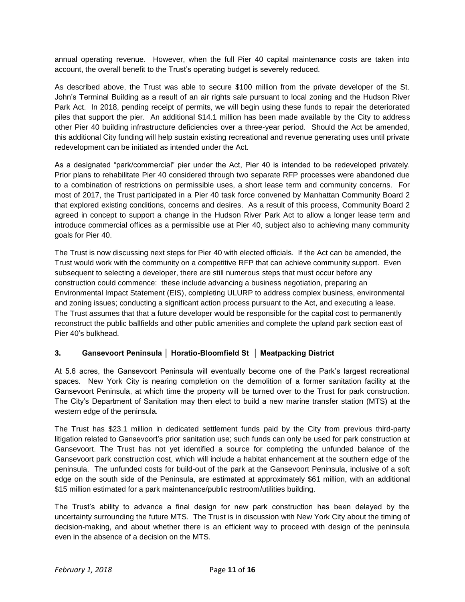annual operating revenue. However, when the full Pier 40 capital maintenance costs are taken into account, the overall benefit to the Trust's operating budget is severely reduced.

As described above, the Trust was able to secure \$100 million from the private developer of the St. John's Terminal Building as a result of an air rights sale pursuant to local zoning and the Hudson River Park Act. In 2018, pending receipt of permits, we will begin using these funds to repair the deteriorated piles that support the pier. An additional \$14.1 million has been made available by the City to address other Pier 40 building infrastructure deficiencies over a three-year period. Should the Act be amended, this additional City funding will help sustain existing recreational and revenue generating uses until private redevelopment can be initiated as intended under the Act.

As a designated "park/commercial" pier under the Act, Pier 40 is intended to be redeveloped privately. Prior plans to rehabilitate Pier 40 considered through two separate RFP processes were abandoned due to a combination of restrictions on permissible uses, a short lease term and community concerns. For most of 2017, the Trust participated in a Pier 40 task force convened by Manhattan Community Board 2 that explored existing conditions, concerns and desires. As a result of this process, Community Board 2 agreed in concept to support a change in the Hudson River Park Act to allow a longer lease term and introduce commercial offices as a permissible use at Pier 40, subject also to achieving many community goals for Pier 40.

The Trust is now discussing next steps for Pier 40 with elected officials. If the Act can be amended, the Trust would work with the community on a competitive RFP that can achieve community support. Even subsequent to selecting a developer, there are still numerous steps that must occur before any construction could commence: these include advancing a business negotiation, preparing an Environmental Impact Statement (EIS), completing ULURP to address complex business, environmental and zoning issues; conducting a significant action process pursuant to the Act, and executing a lease. The Trust assumes that that a future developer would be responsible for the capital cost to permanently reconstruct the public ballfields and other public amenities and complete the upland park section east of Pier 40's bulkhead.

#### **3. Gansevoort Peninsula │ Horatio-Bloomfield St │ Meatpacking District**

At 5.6 acres, the Gansevoort Peninsula will eventually become one of the Park's largest recreational spaces. New York City is nearing completion on the demolition of a former sanitation facility at the Gansevoort Peninsula, at which time the property will be turned over to the Trust for park construction. The City's Department of Sanitation may then elect to build a new marine transfer station (MTS) at the western edge of the peninsula.

The Trust has \$23.1 million in dedicated settlement funds paid by the City from previous third-party litigation related to Gansevoort's prior sanitation use; such funds can only be used for park construction at Gansevoort. The Trust has not yet identified a source for completing the unfunded balance of the Gansevoort park construction cost, which will include a habitat enhancement at the southern edge of the peninsula. The unfunded costs for build-out of the park at the Gansevoort Peninsula, inclusive of a soft edge on the south side of the Peninsula, are estimated at approximately \$61 million, with an additional \$15 million estimated for a park maintenance/public restroom/utilities building.

The Trust's ability to advance a final design for new park construction has been delayed by the uncertainty surrounding the future MTS. The Trust is in discussion with New York City about the timing of decision-making, and about whether there is an efficient way to proceed with design of the peninsula even in the absence of a decision on the MTS.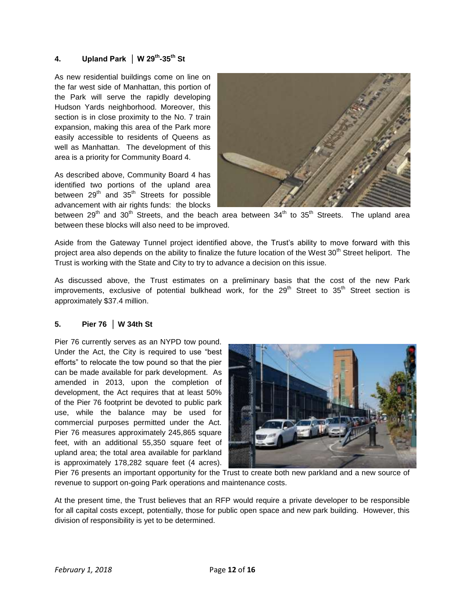#### **4. Upland Park │ W 29th -35th St**

As new residential buildings come on line on the far west side of Manhattan, this portion of the Park will serve the rapidly developing Hudson Yards neighborhood. Moreover, this section is in close proximity to the No. 7 train expansion, making this area of the Park more easily accessible to residents of Queens as well as Manhattan. The development of this area is a priority for Community Board 4.

As described above, Community Board 4 has identified two portions of the upland area between  $29<sup>th</sup>$  and  $35<sup>th</sup>$  Streets for possible advancement with air rights funds: the blocks



between 29<sup>th</sup> and 30<sup>th</sup> Streets, and the beach area between 34<sup>th</sup> to 35<sup>th</sup> Streets. The upland area between these blocks will also need to be improved.

Aside from the Gateway Tunnel project identified above, the Trust's ability to move forward with this project area also depends on the ability to finalize the future location of the West 30<sup>th</sup> Street heliport. The Trust is working with the State and City to try to advance a decision on this issue.

As discussed above, the Trust estimates on a preliminary basis that the cost of the new Park improvements, exclusive of potential bulkhead work, for the 29<sup>th</sup> Street to 35<sup>th</sup> Street section is approximately \$37.4 million.

#### **5. Pier 76 │ W 34th St**

Pier 76 currently serves as an NYPD tow pound. Under the Act, the City is required to use "best efforts" to relocate the tow pound so that the pier can be made available for park development. As amended in 2013, upon the completion of development, the Act requires that at least 50% of the Pier 76 footprint be devoted to public park use, while the balance may be used for commercial purposes permitted under the Act. Pier 76 measures approximately 245,865 square feet, with an additional 55,350 square feet of upland area; the total area available for parkland is approximately 178,282 square feet (4 acres).



Pier 76 presents an important opportunity for the Trust to create both new parkland and a new source of revenue to support on-going Park operations and maintenance costs.

At the present time, the Trust believes that an RFP would require a private developer to be responsible for all capital costs except, potentially, those for public open space and new park building. However, this division of responsibility is yet to be determined.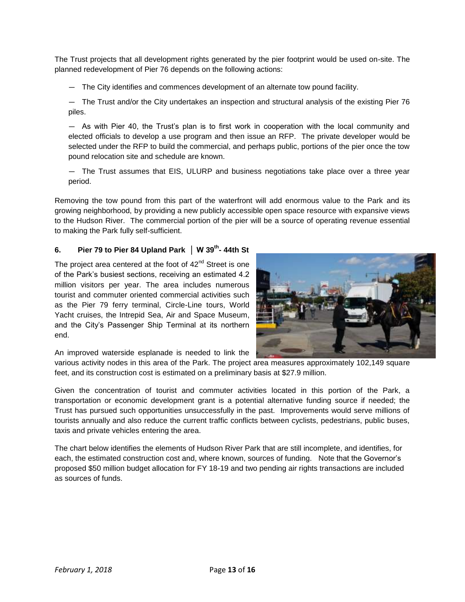The Trust projects that all development rights generated by the pier footprint would be used on-site. The planned redevelopment of Pier 76 depends on the following actions:

— The City identifies and commences development of an alternate tow pound facility.

— The Trust and/or the City undertakes an inspection and structural analysis of the existing Pier 76 piles.

— As with Pier 40, the Trust's plan is to first work in cooperation with the local community and elected officials to develop a use program and then issue an RFP. The private developer would be selected under the RFP to build the commercial, and perhaps public, portions of the pier once the tow pound relocation site and schedule are known.

— The Trust assumes that EIS, ULURP and business negotiations take place over a three year period.

Removing the tow pound from this part of the waterfront will add enormous value to the Park and its growing neighborhood, by providing a new publicly accessible open space resource with expansive views to the Hudson River. The commercial portion of the pier will be a source of operating revenue essential to making the Park fully self-sufficient.

#### **6. Pier 79 to Pier 84 Upland Park │ W 39th - 44th St**

The project area centered at the foot of  $42<sup>nd</sup>$  Street is one of the Park's busiest sections, receiving an estimated 4.2 million visitors per year. The area includes numerous tourist and commuter oriented commercial activities such as the Pier 79 ferry terminal, Circle-Line tours, World Yacht cruises, the Intrepid Sea, Air and Space Museum, and the City's Passenger Ship Terminal at its northern end.



An improved waterside esplanade is needed to link the

various activity nodes in this area of the Park. The project area measures approximately 102,149 square feet, and its construction cost is estimated on a preliminary basis at \$27.9 million.

Given the concentration of tourist and commuter activities located in this portion of the Park, a transportation or economic development grant is a potential alternative funding source if needed; the Trust has pursued such opportunities unsuccessfully in the past. Improvements would serve millions of tourists annually and also reduce the current traffic conflicts between cyclists, pedestrians, public buses, taxis and private vehicles entering the area.

The chart below identifies the elements of Hudson River Park that are still incomplete, and identifies, for each, the estimated construction cost and, where known, sources of funding. Note that the Governor's proposed \$50 million budget allocation for FY 18-19 and two pending air rights transactions are included as sources of funds.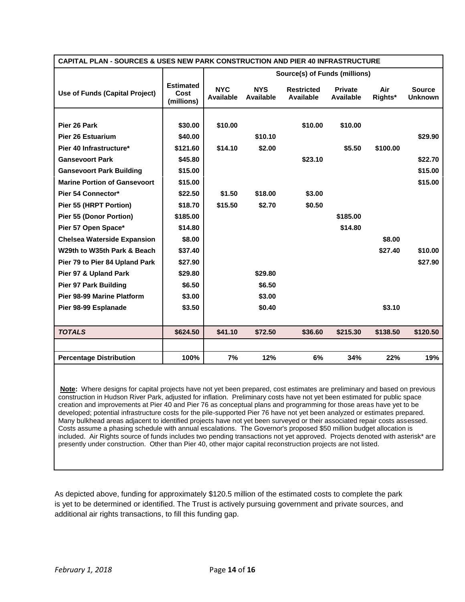| <b>CAPITAL PLAN - SOURCES &amp; USES NEW PARK CONSTRUCTION AND PIER 40 INFRASTRUCTURE</b> |                                        |                                |                         |                                |                             |                |                                 |
|-------------------------------------------------------------------------------------------|----------------------------------------|--------------------------------|-------------------------|--------------------------------|-----------------------------|----------------|---------------------------------|
|                                                                                           |                                        | Source(s) of Funds (millions)  |                         |                                |                             |                |                                 |
| Use of Funds (Capital Project)                                                            | <b>Estimated</b><br>Cost<br>(millions) | <b>NYC</b><br><b>Available</b> | <b>NYS</b><br>Available | <b>Restricted</b><br>Available | <b>Private</b><br>Available | Air<br>Rights* | <b>Source</b><br><b>Unknown</b> |
|                                                                                           |                                        |                                |                         |                                |                             |                |                                 |
| Pier 26 Park                                                                              | \$30.00                                | \$10.00                        |                         | \$10.00                        | \$10.00                     |                |                                 |
| <b>Pier 26 Estuarium</b>                                                                  | \$40.00                                |                                | \$10.10                 |                                |                             |                | \$29.90                         |
| Pier 40 Infrastructure*                                                                   | \$121.60                               | \$14.10                        | \$2.00                  |                                | \$5.50                      | \$100.00       |                                 |
| <b>Gansevoort Park</b>                                                                    | \$45.80                                |                                |                         | \$23.10                        |                             |                | \$22.70                         |
| <b>Gansevoort Park Building</b>                                                           | \$15.00                                |                                |                         |                                |                             |                | \$15.00                         |
| <b>Marine Portion of Gansevoort</b>                                                       | \$15.00                                |                                |                         |                                |                             |                | \$15.00                         |
| Pier 54 Connector*                                                                        | \$22.50                                | \$1.50                         | \$18.00                 | \$3.00                         |                             |                |                                 |
| Pier 55 (HRPT Portion)                                                                    | \$18.70                                | \$15.50                        | \$2.70                  | \$0.50                         |                             |                |                                 |
| <b>Pier 55 (Donor Portion)</b>                                                            | \$185.00                               |                                |                         |                                | \$185.00                    |                |                                 |
| Pier 57 Open Space*                                                                       | \$14.80                                |                                |                         |                                | \$14.80                     |                |                                 |
| <b>Chelsea Waterside Expansion</b>                                                        | \$8.00                                 |                                |                         |                                |                             | \$8.00         |                                 |
| W29th to W35th Park & Beach                                                               | \$37.40                                |                                |                         |                                |                             | \$27.40        | \$10.00                         |
| Pier 79 to Pier 84 Upland Park                                                            | \$27.90                                |                                |                         |                                |                             |                | \$27.90                         |
| Pier 97 & Upland Park                                                                     | \$29.80                                |                                | \$29.80                 |                                |                             |                |                                 |
| <b>Pier 97 Park Building</b>                                                              | \$6.50                                 |                                | \$6.50                  |                                |                             |                |                                 |
| <b>Pier 98-99 Marine Platform</b>                                                         | \$3.00                                 |                                | \$3.00                  |                                |                             |                |                                 |
| Pier 98-99 Esplanade                                                                      | \$3.50                                 |                                | \$0.40                  |                                |                             | \$3.10         |                                 |
|                                                                                           |                                        |                                |                         |                                |                             |                |                                 |
| <b>TOTALS</b>                                                                             | \$624.50                               | \$41.10                        | \$72.50                 | \$36.60                        | \$215.30                    | \$138.50       | \$120.50                        |
|                                                                                           |                                        |                                |                         |                                |                             |                |                                 |
| <b>Percentage Distribution</b>                                                            | 100%                                   | 7%                             | 12%                     | 6%                             | 34%                         | 22%            | 19%                             |

**Note:** Where designs for capital projects have not yet been prepared, cost estimates are preliminary and based on previous construction in Hudson River Park, adjusted for inflation. Preliminary costs have not yet been estimated for public space creation and improvements at Pier 40 and Pier 76 as conceptual plans and programming for those areas have yet to be developed; potential infrastructure costs for the pile-supported Pier 76 have not yet been analyzed or estimates prepared. Many bulkhead areas adjacent to identified projects have not yet been surveyed or their associated repair costs assessed. Costs assume a phasing schedule with annual escalations. The Governor's proposed \$50 million budget allocation is included. Air Rights source of funds includes two pending transactions not yet approved. Projects denoted with asterisk\* are presently under construction. Other than Pier 40, other major capital reconstruction projects are not listed.

As depicted above, funding for approximately \$120.5 million of the estimated costs to complete the park is yet to be determined or identified. The Trust is actively pursuing government and private sources, and additional air rights transactions, to fill this funding gap.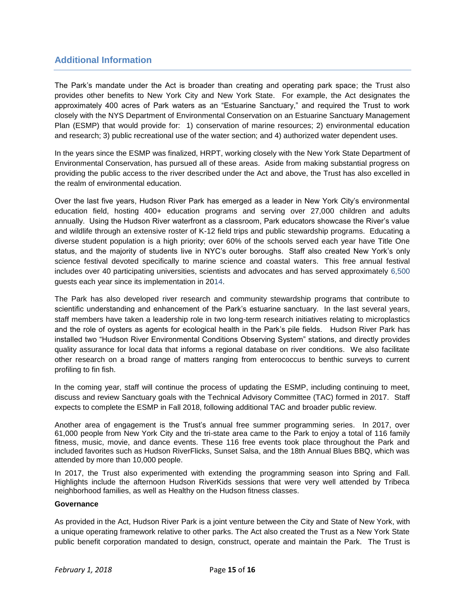# **Additional Information**

The Park's mandate under the Act is broader than creating and operating park space; the Trust also provides other benefits to New York City and New York State. For example, the Act designates the approximately 400 acres of Park waters as an "Estuarine Sanctuary," and required the Trust to work closely with the NYS Department of Environmental Conservation on an Estuarine Sanctuary Management Plan (ESMP) that would provide for: 1) conservation of marine resources; 2) environmental education and research; 3) public recreational use of the water section; and 4) authorized water dependent uses.

In the years since the ESMP was finalized, HRPT, working closely with the New York State Department of Environmental Conservation, has pursued all of these areas. Aside from making substantial progress on providing the public access to the river described under the Act and above, the Trust has also excelled in the realm of environmental education.

Over the last five years, Hudson River Park has emerged as a leader in New York City's environmental education field, hosting 400+ education programs and serving over 27,000 children and adults annually. Using the Hudson River waterfront as a classroom, Park educators showcase the River's value and wildlife through an extensive roster of K-12 field trips and public stewardship programs. Educating a diverse student population is a high priority; over 60% of the schools served each year have Title One status, and the majority of students live in NYC's outer boroughs. Staff also created New York's only science festival devoted specifically to marine science and coastal waters. This free annual festival includes over 40 participating universities, scientists and advocates and has served approximately 6,500 guests each year since its implementation in 2014.

The Park has also developed river research and community stewardship programs that contribute to scientific understanding and enhancement of the Park's estuarine sanctuary. In the last several years, staff members have taken a leadership role in two long-term research initiatives relating to microplastics and the role of oysters as agents for ecological health in the Park's pile fields. Hudson River Park has installed two "Hudson River Environmental Conditions Observing System" stations, and directly provides quality assurance for local data that informs a regional database on river conditions. We also facilitate other research on a broad range of matters ranging from enterococcus to benthic surveys to current profiling to fin fish.

In the coming year, staff will continue the process of updating the ESMP, including continuing to meet, discuss and review Sanctuary goals with the Technical Advisory Committee (TAC) formed in 2017. Staff expects to complete the ESMP in Fall 2018, following additional TAC and broader public review.

Another area of engagement is the Trust's annual free summer programming series. In 2017, over 61,000 people from New York City and the tri-state area came to the Park to enjoy a total of 116 family fitness, music, movie, and dance events. These 116 free events took place throughout the Park and included favorites such as Hudson RiverFlicks, Sunset Salsa, and the 18th Annual Blues BBQ, which was attended by more than 10,000 people.

In 2017, the Trust also experimented with extending the programming season into Spring and Fall. Highlights include the afternoon Hudson RiverKids sessions that were very well attended by Tribeca neighborhood families, as well as Healthy on the Hudson fitness classes.

#### **Governance**

As provided in the Act, Hudson River Park is a joint venture between the City and State of New York, with a unique operating framework relative to other parks. The Act also created the Trust as a New York State public benefit corporation mandated to design, construct, operate and maintain the Park. The Trust is